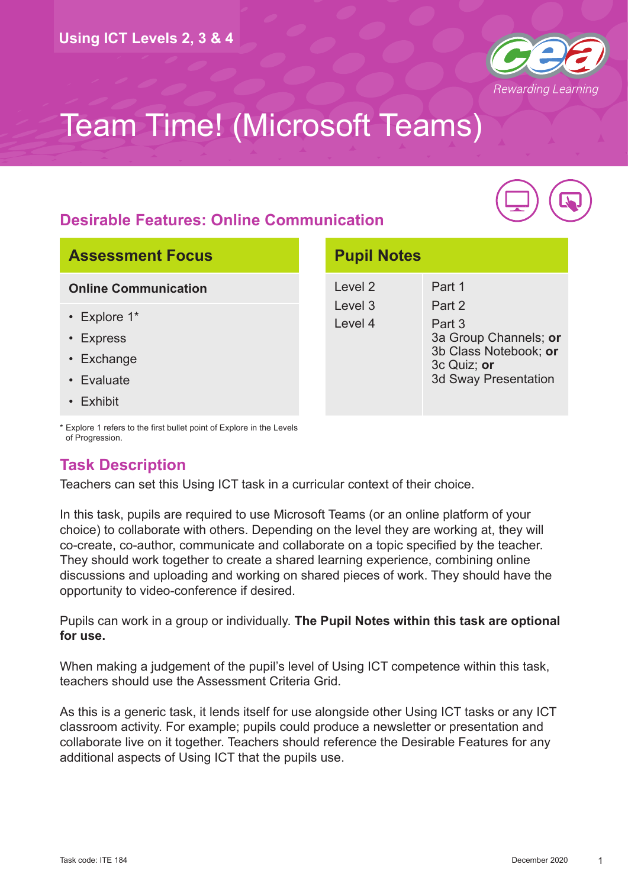

#### **Desirable Features: Online Communication**



#### **Assessment Focus**

#### **Online Communication**

- Explore 1\*
- Express
- Exchange
- Evaluate
- Exhibit

| Level 2 | Part 1                                                                                                 |
|---------|--------------------------------------------------------------------------------------------------------|
| Level 3 | Part 2                                                                                                 |
| Level 4 | Part 3<br>3a Group Channels; or<br>3b Class Notebook; or<br>3c Quiz; or<br><b>3d Sway Presentation</b> |

**Pupil Notes**

\* Explore 1 refers to the first bullet point of Explore in the Levels of Progression.

#### **Task Description**

Teachers can set this Using ICT task in a curricular context of their choice.

In this task, pupils are required to use Microsoft Teams (or an online platform of your choice) to collaborate with others. Depending on the level they are working at, they will co-create, co-author, communicate and collaborate on a topic specified by the teacher. They should work together to create a shared learning experience, combining online discussions and uploading and working on shared pieces of work. They should have the opportunity to video-conference if desired.

Pupils can work in a group or individually. **The Pupil Notes within this task are optional for use.**

When making a judgement of the pupil's level of Using ICT competence within this task, teachers should use the Assessment Criteria Grid.

As this is a generic task, it lends itself for use alongside other Using ICT tasks or any ICT classroom activity. For example; pupils could produce a newsletter or presentation and collaborate live on it together. Teachers should reference the Desirable Features for any additional aspects of Using ICT that the pupils use.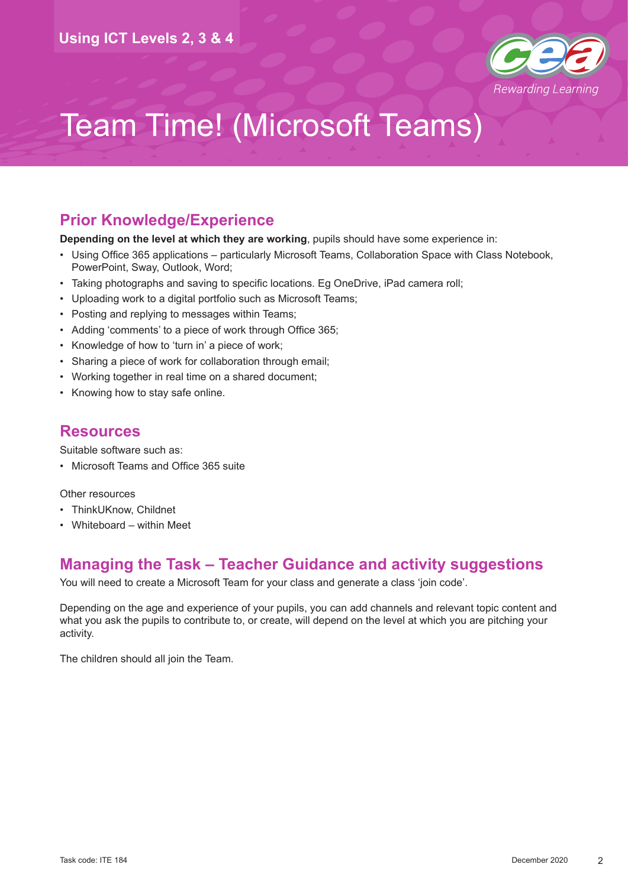

#### **Prior Knowledge/Experience**

**Depending on the level at which they are working**, pupils should have some experience in:

- Using Office 365 applications particularly Microsoft Teams, Collaboration Space with Class Notebook, PowerPoint, Sway, Outlook, Word;
- Taking photographs and saving to specific locations. Eg OneDrive, iPad camera roll;
- Uploading work to a digital portfolio such as Microsoft Teams;
- Posting and replying to messages within Teams;
- Adding 'comments' to a piece of work through Office 365;
- Knowledge of how to 'turn in' a piece of work;
- Sharing a piece of work for collaboration through email;
- Working together in real time on a shared document;
- Knowing how to stay safe online.

#### **Resources**

Suitable software such as:

• Microsoft Teams and Office 365 suite

Other resources

- ThinkUKnow, Childnet
- Whiteboard within Meet

#### **Managing the Task – Teacher Guidance and activity suggestions**

You will need to create a Microsoft Team for your class and generate a class 'join code'.

Depending on the age and experience of your pupils, you can add channels and relevant topic content and what you ask the pupils to contribute to, or create, will depend on the level at which you are pitching your activity.

The children should all join the Team.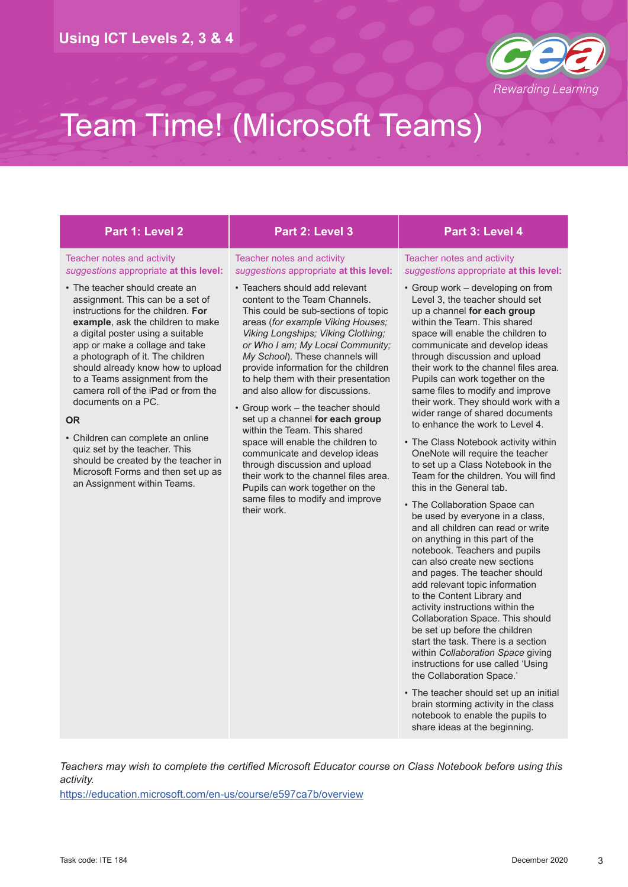

#### Teacher notes and activity *suggestions* appropriate **at this level:**

• The teacher should create an assignment. This can be a set of instructions for the children. **For example**, ask the children to make a digital poster using a suitable app or make a collage and take a photograph of it. The children should already know how to upload to a Teams assignment from the camera roll of the iPad or from the documents on a PC.

#### **OR**

• Children can complete an online quiz set by the teacher. This should be created by the teacher in Microsoft Forms and then set up as an Assignment within Teams.

#### **Part 1: Level 2 Part 2: Level 3 Part 3: Level 4**

#### Teacher notes and activity *suggestions* appropriate **at this level:**

- Teachers should add relevant content to the Team Channels. This could be sub-sections of topic areas (*for example Viking Houses; Viking Longships; Viking Clothing; or Who I am; My Local Community; My School*). These channels will provide information for the children to help them with their presentation and also allow for discussions.
- Group work the teacher should set up a channel **for each group** within the Team. This shared space will enable the children to communicate and develop ideas through discussion and upload their work to the channel files area. Pupils can work together on the same files to modify and improve their work.

#### Teacher notes and activity *suggestions* appropriate **at this level:**

- Group work developing on from Level 3, the teacher should set up a channel **for each group** within the Team. This shared space will enable the children to communicate and develop ideas through discussion and upload their work to the channel files area. Pupils can work together on the same files to modify and improve their work. They should work with a wider range of shared documents to enhance the work to Level 4.
- The Class Notebook activity within OneNote will require the teacher to set up a Class Notebook in the Team for the children. You will find this in the General tab.
- The Collaboration Space can be used by everyone in a class, and all children can read or write on anything in this part of the notebook. Teachers and pupils can also create new sections and pages. The teacher should add relevant topic information to the Content Library and activity instructions within the Collaboration Space. This should be set up before the children start the task. There is a section within *Collaboration Space* giving instructions for use called 'Using the Collaboration Space.'
- The teacher should set up an initial brain storming activity in the class notebook to enable the pupils to share ideas at the beginning.

*Teachers may wish to complete the certified Microsoft Educator course on Class Notebook before using this activity.* 

<https://education.microsoft.com/en-us/course/e597ca7b/overview>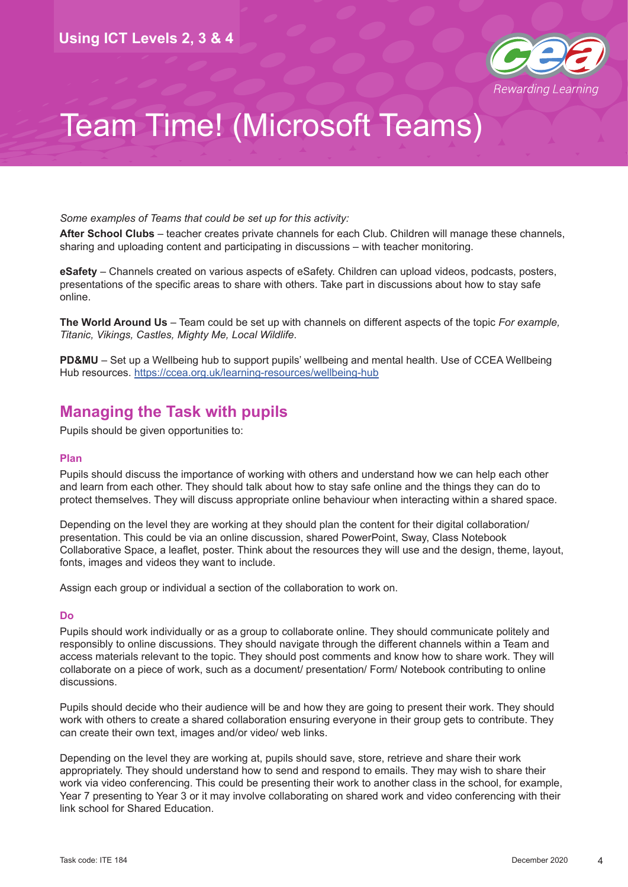

*Some examples of Teams that could be set up for this activity:*

**After School Clubs** – teacher creates private channels for each Club. Children will manage these channels, sharing and uploading content and participating in discussions – with teacher monitoring.

**eSafety** – Channels created on various aspects of eSafety. Children can upload videos, podcasts, posters, presentations of the specific areas to share with others. Take part in discussions about how to stay safe online.

**The World Around Us** – Team could be set up with channels on different aspects of the topic *For example, Titanic, Vikings, Castles, Mighty Me, Local Wildlife*.

**PD&MU** – Set up a Wellbeing hub to support pupils' wellbeing and mental health. Use of CCEA Wellbeing Hub resources.<https://ccea.org.uk/learning-resources/wellbeing-hub>

#### **Managing the Task with pupils**

Pupils should be given opportunities to:

#### **Plan**

Pupils should discuss the importance of working with others and understand how we can help each other and learn from each other. They should talk about how to stay safe online and the things they can do to protect themselves. They will discuss appropriate online behaviour when interacting within a shared space.

Depending on the level they are working at they should plan the content for their digital collaboration/ presentation. This could be via an online discussion, shared PowerPoint, Sway, Class Notebook Collaborative Space, a leaflet, poster. Think about the resources they will use and the design, theme, layout, fonts, images and videos they want to include.

Assign each group or individual a section of the collaboration to work on.

#### **Do**

Pupils should work individually or as a group to collaborate online. They should communicate politely and responsibly to online discussions. They should navigate through the different channels within a Team and access materials relevant to the topic. They should post comments and know how to share work. They will collaborate on a piece of work, such as a document/ presentation/ Form/ Notebook contributing to online discussions.

Pupils should decide who their audience will be and how they are going to present their work. They should work with others to create a shared collaboration ensuring everyone in their group gets to contribute. They can create their own text, images and/or video/ web links.

Depending on the level they are working at, pupils should save, store, retrieve and share their work appropriately. They should understand how to send and respond to emails. They may wish to share their work via video conferencing. This could be presenting their work to another class in the school, for example, Year 7 presenting to Year 3 or it may involve collaborating on shared work and video conferencing with their link school for Shared Education.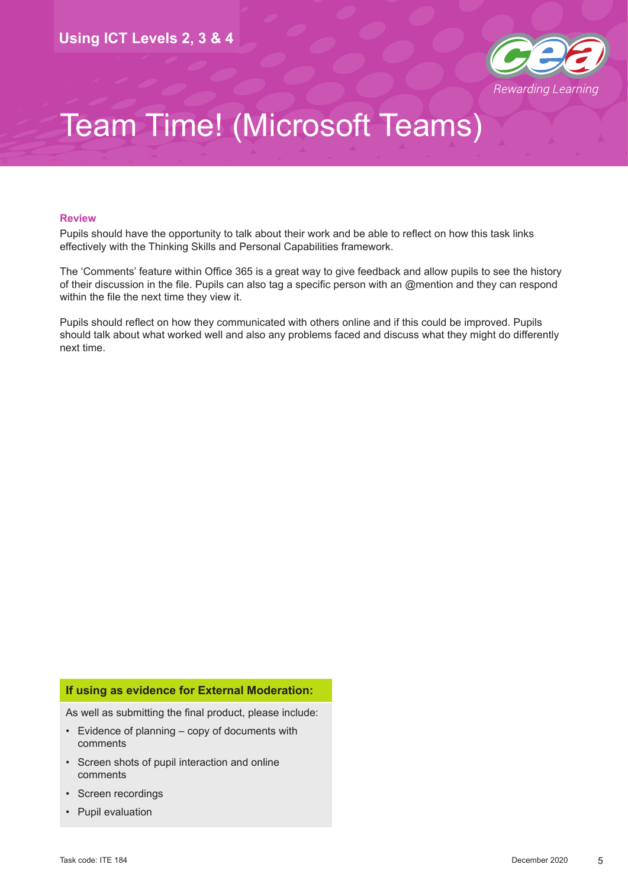

#### **Review**

Pupils should have the opportunity to talk about their work and be able to reflect on how this task links effectively with the Thinking Skills and Personal Capabilities framework.

The 'Comments' feature within Office 365 is a great way to give feedback and allow pupils to see the history of their discussion in the file. Pupils can also tag a specific person with an @mention and they can respond within the file the next time they view it.

Pupils should reflect on how they communicated with others online and if this could be improved. Pupils should talk about what worked well and also any problems faced and discuss what they might do differently next time.

#### **If using as evidence for External Moderation:**

As well as submitting the final product, please include:

- Evidence of planning copy of documents with comments
- Screen shots of pupil interaction and online comments
- Screen recordings
- Pupil evaluation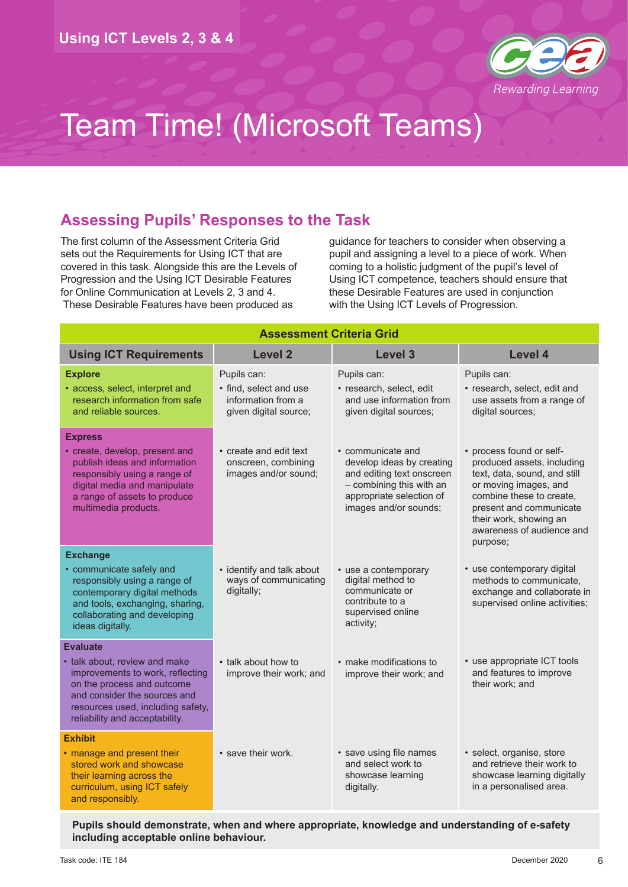

#### **Assessing Pupils' Responses to the Task**

The first column of the Assessment Criteria Grid sets out the Requirements for Using ICT that are covered in this task. Alongside this are the Levels of Progression and the Using ICT Desirable Features for Online Communication at Levels 2, 3 and 4. These Desirable Features have been produced as

guidance for teachers to consider when observing a pupil and assigning a level to a piece of work. When coming to a holistic judgment of the pupil's level of Using ICT competence, teachers should ensure that these Desirable Features are used in conjunction with the Using ICT Levels of Progression.

| <b>Assessment Criteria Grid</b>                                                                                                                                                                                           |                                                                                      |                                                                                                                                                              |                                                                                                                                                                                                                                           |  |  |
|---------------------------------------------------------------------------------------------------------------------------------------------------------------------------------------------------------------------------|--------------------------------------------------------------------------------------|--------------------------------------------------------------------------------------------------------------------------------------------------------------|-------------------------------------------------------------------------------------------------------------------------------------------------------------------------------------------------------------------------------------------|--|--|
| <b>Using ICT Requirements</b>                                                                                                                                                                                             | <b>Level 2</b>                                                                       | Level 3                                                                                                                                                      | Level 4                                                                                                                                                                                                                                   |  |  |
| <b>Explore</b><br>• access, select, interpret and<br>research information from safe<br>and reliable sources.                                                                                                              | Pupils can:<br>• find, select and use<br>information from a<br>given digital source; | Pupils can:<br>· research, select, edit<br>and use information from<br>given digital sources;                                                                | Pupils can:<br>· research, select, edit and<br>use assets from a range of<br>digital sources;                                                                                                                                             |  |  |
| <b>Express</b><br>• create, develop, present and<br>publish ideas and information<br>responsibly using a range of<br>digital media and manipulate<br>a range of assets to produce<br>multimedia products.                 | • create and edit text<br>onscreen, combining<br>images and/or sound;                | • communicate and<br>develop ideas by creating<br>and editing text onscreen<br>- combining this with an<br>appropriate selection of<br>images and/or sounds; | • process found or self-<br>produced assets, including<br>text, data, sound, and still<br>or moving images, and<br>combine these to create,<br>present and communicate<br>their work, showing an<br>awareness of audience and<br>purpose; |  |  |
| <b>Exchange</b><br>• communicate safely and<br>responsibly using a range of<br>contemporary digital methods<br>and tools, exchanging, sharing,<br>collaborating and developing<br>ideas digitally.                        | • identify and talk about<br>ways of communicating<br>digitally;                     | • use a contemporary<br>digital method to<br>communicate or<br>contribute to a<br>supervised online<br>activity;                                             | • use contemporary digital<br>methods to communicate,<br>exchange and collaborate in<br>supervised online activities;                                                                                                                     |  |  |
| <b>Evaluate</b><br>• talk about, review and make<br>improvements to work, reflecting<br>on the process and outcome<br>and consider the sources and<br>resources used, including safety,<br>reliability and acceptability. | • talk about how to<br>improve their work; and                                       | • make modifications to<br>improve their work; and                                                                                                           | • use appropriate ICT tools<br>and features to improve<br>their work; and                                                                                                                                                                 |  |  |
| <b>Exhibit</b><br>• manage and present their<br>stored work and showcase<br>their learning across the<br>curriculum, using ICT safely<br>and responsibly.                                                                 | • save their work.                                                                   | • save using file names<br>and select work to<br>showcase learning<br>digitally.                                                                             | · select, organise, store<br>and retrieve their work to<br>showcase learning digitally<br>in a personalised area.                                                                                                                         |  |  |

**Pupils should demonstrate, when and where appropriate, knowledge and understanding of e-safety including acceptable online behaviour.**

6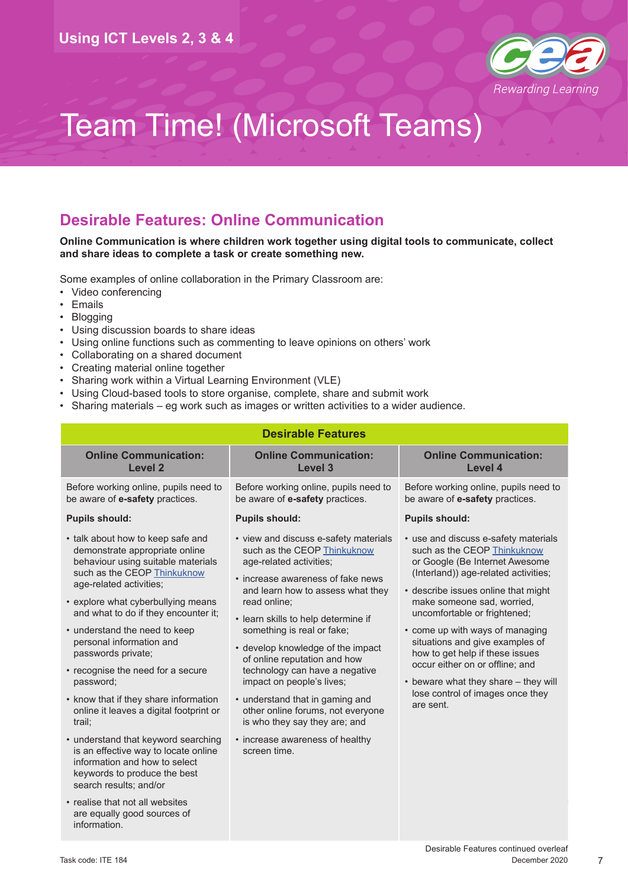

#### **Desirable Features: Online Communication**

#### **Online Communication is where children work together using digital tools to communicate, collect and share ideas to complete a task or create something new.**

Some examples of online collaboration in the Primary Classroom are:

- Video conferencing
- Emails
- Blogging
- Using discussion boards to share ideas
- Using online functions such as commenting to leave opinions on others' work
- Collaborating on a shared document
- Creating material online together
- Sharing work within a Virtual Learning Environment (VLE)
- Using Cloud-based tools to store organise, complete, share and submit work
- Sharing materials eg work such as images or written activities to a wider audience.

| <b>Desirable Features</b>                                                                                                                                                                                                                                                                                                                                                                                                                                                                                                                                                                                                                                      |                                                                                                                                                                                                                                                                                                                                                                                                                                                                                                                                                                |                                                                                                                                                                                                                                                                                                                                                                                                                                                                                         |  |  |  |
|----------------------------------------------------------------------------------------------------------------------------------------------------------------------------------------------------------------------------------------------------------------------------------------------------------------------------------------------------------------------------------------------------------------------------------------------------------------------------------------------------------------------------------------------------------------------------------------------------------------------------------------------------------------|----------------------------------------------------------------------------------------------------------------------------------------------------------------------------------------------------------------------------------------------------------------------------------------------------------------------------------------------------------------------------------------------------------------------------------------------------------------------------------------------------------------------------------------------------------------|-----------------------------------------------------------------------------------------------------------------------------------------------------------------------------------------------------------------------------------------------------------------------------------------------------------------------------------------------------------------------------------------------------------------------------------------------------------------------------------------|--|--|--|
| <b>Online Communication:</b><br><b>Level 2</b>                                                                                                                                                                                                                                                                                                                                                                                                                                                                                                                                                                                                                 | <b>Online Communication:</b><br><b>Level 3</b>                                                                                                                                                                                                                                                                                                                                                                                                                                                                                                                 | <b>Online Communication:</b><br>Level 4                                                                                                                                                                                                                                                                                                                                                                                                                                                 |  |  |  |
| Before working online, pupils need to<br>be aware of e-safety practices.                                                                                                                                                                                                                                                                                                                                                                                                                                                                                                                                                                                       | Before working online, pupils need to<br>be aware of e-safety practices.                                                                                                                                                                                                                                                                                                                                                                                                                                                                                       | Before working online, pupils need to<br>be aware of e-safety practices.                                                                                                                                                                                                                                                                                                                                                                                                                |  |  |  |
| <b>Pupils should:</b>                                                                                                                                                                                                                                                                                                                                                                                                                                                                                                                                                                                                                                          | <b>Pupils should:</b>                                                                                                                                                                                                                                                                                                                                                                                                                                                                                                                                          | <b>Pupils should:</b>                                                                                                                                                                                                                                                                                                                                                                                                                                                                   |  |  |  |
| • talk about how to keep safe and<br>demonstrate appropriate online<br>behaviour using suitable materials<br>such as the CEOP Thinkuknow<br>age-related activities;<br>• explore what cyberbullying means<br>and what to do if they encounter it;<br>• understand the need to keep<br>personal information and<br>passwords private;<br>• recognise the need for a secure<br>password;<br>• know that if they share information<br>online it leaves a digital footprint or<br>trail;<br>• understand that keyword searching<br>is an effective way to locate online<br>information and how to select<br>keywords to produce the best<br>search results; and/or | • view and discuss e-safety materials<br>such as the CEOP Thinkuknow<br>age-related activities;<br>• increase awareness of fake news<br>and learn how to assess what they<br>read online;<br>• learn skills to help determine if<br>something is real or fake;<br>• develop knowledge of the impact<br>of online reputation and how<br>technology can have a negative<br>impact on people's lives;<br>• understand that in gaming and<br>other online forums, not everyone<br>is who they say they are; and<br>• increase awareness of healthy<br>screen time. | • use and discuss e-safety materials<br>such as the CEOP Thinkuknow<br>or Google (Be Internet Awesome<br>(Interland)) age-related activities;<br>• describe issues online that might<br>make someone sad, worried,<br>uncomfortable or frightened;<br>• come up with ways of managing<br>situations and give examples of<br>how to get help if these issues<br>occur either on or offline; and<br>• beware what they share - they will<br>lose control of images once they<br>are sent. |  |  |  |
| • realise that not all websites<br>are equally good sources of<br>information.                                                                                                                                                                                                                                                                                                                                                                                                                                                                                                                                                                                 |                                                                                                                                                                                                                                                                                                                                                                                                                                                                                                                                                                |                                                                                                                                                                                                                                                                                                                                                                                                                                                                                         |  |  |  |

7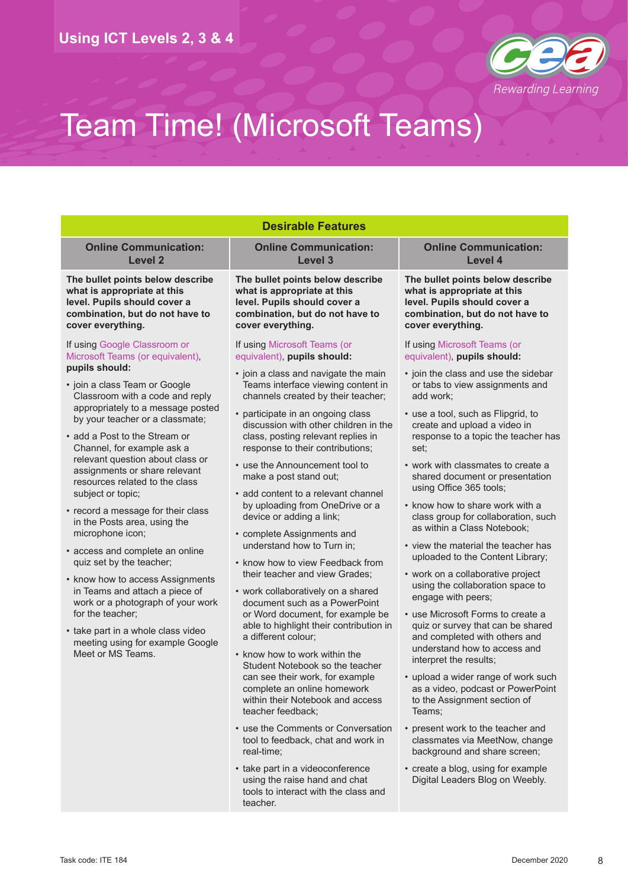

| <b>Desirable Features</b>                                                                                                                                                                                                                                                                                                                                                                                                                                                                                           |                                                                                                                                                                                                                                                                                                                                                                                                                                                                                                                                                                                                                                       |                                                                                                                                                                                                                                                                                                                                                                                                                                                                                                |                                                                                                                                                                                             |                                                                                                                    |  |  |
|---------------------------------------------------------------------------------------------------------------------------------------------------------------------------------------------------------------------------------------------------------------------------------------------------------------------------------------------------------------------------------------------------------------------------------------------------------------------------------------------------------------------|---------------------------------------------------------------------------------------------------------------------------------------------------------------------------------------------------------------------------------------------------------------------------------------------------------------------------------------------------------------------------------------------------------------------------------------------------------------------------------------------------------------------------------------------------------------------------------------------------------------------------------------|------------------------------------------------------------------------------------------------------------------------------------------------------------------------------------------------------------------------------------------------------------------------------------------------------------------------------------------------------------------------------------------------------------------------------------------------------------------------------------------------|---------------------------------------------------------------------------------------------------------------------------------------------------------------------------------------------|--------------------------------------------------------------------------------------------------------------------|--|--|
| <b>Online Communication:</b><br>Level 2                                                                                                                                                                                                                                                                                                                                                                                                                                                                             | <b>Online Communication:</b><br>Level 3                                                                                                                                                                                                                                                                                                                                                                                                                                                                                                                                                                                               | <b>Online Communication:</b><br>Level 4                                                                                                                                                                                                                                                                                                                                                                                                                                                        |                                                                                                                                                                                             |                                                                                                                    |  |  |
| The bullet points below describe<br>what is appropriate at this<br>level. Pupils should cover a<br>combination, but do not have to<br>cover everything.                                                                                                                                                                                                                                                                                                                                                             | The bullet points below describe<br>what is appropriate at this<br>level. Pupils should cover a<br>combination, but do not have to<br>cover everything.                                                                                                                                                                                                                                                                                                                                                                                                                                                                               | The bullet points below describe<br>what is appropriate at this<br>level. Pupils should cover a<br>combination, but do not have to<br>cover everything.                                                                                                                                                                                                                                                                                                                                        |                                                                                                                                                                                             |                                                                                                                    |  |  |
| If using Google Classroom or<br>Microsoft Teams (or equivalent),<br>pupils should:<br>• join a class Team or Google<br>Classroom with a code and reply<br>appropriately to a message posted<br>by your teacher or a classmate;<br>• add a Post to the Stream or<br>Channel, for example ask a<br>relevant question about class or<br>assignments or share relevant<br>resources related to the class<br>subject or topic;<br>• record a message for their class<br>in the Posts area, using the<br>microphone icon; | If using Microsoft Teams (or<br>equivalent), pupils should:                                                                                                                                                                                                                                                                                                                                                                                                                                                                                                                                                                           | If using Microsoft Teams (or<br>equivalent), pupils should:                                                                                                                                                                                                                                                                                                                                                                                                                                    |                                                                                                                                                                                             |                                                                                                                    |  |  |
|                                                                                                                                                                                                                                                                                                                                                                                                                                                                                                                     | • join a class and navigate the main<br>Teams interface viewing content in<br>channels created by their teacher;                                                                                                                                                                                                                                                                                                                                                                                                                                                                                                                      | • join the class and use the sidebar<br>or tabs to view assignments and<br>add work;                                                                                                                                                                                                                                                                                                                                                                                                           |                                                                                                                                                                                             |                                                                                                                    |  |  |
|                                                                                                                                                                                                                                                                                                                                                                                                                                                                                                                     | • participate in an ongoing class<br>discussion with other children in the<br>class, posting relevant replies in<br>response to their contributions;<br>• use the Announcement tool to<br>make a post stand out;<br>• add content to a relevant channel<br>by uploading from OneDrive or a<br>device or adding a link;<br>• complete Assignments and<br>understand how to Turn in;<br>• know how to view Feedback from<br>their teacher and view Grades;<br>• work collaboratively on a shared<br>document such as a PowerPoint<br>or Word document, for example be<br>able to highlight their contribution in<br>a different colour; | • use a tool, such as Flipgrid, to<br>create and upload a video in<br>response to a topic the teacher has<br>set:                                                                                                                                                                                                                                                                                                                                                                              |                                                                                                                                                                                             |                                                                                                                    |  |  |
|                                                                                                                                                                                                                                                                                                                                                                                                                                                                                                                     |                                                                                                                                                                                                                                                                                                                                                                                                                                                                                                                                                                                                                                       | • work with classmates to create a<br>shared document or presentation<br>using Office 365 tools;<br>• know how to share work with a<br>class group for collaboration, such<br>as within a Class Notebook;<br>• view the material the teacher has<br>uploaded to the Content Library;<br>• work on a collaborative project<br>using the collaboration space to<br>engage with peers;<br>• use Microsoft Forms to create a<br>quiz or survey that can be shared<br>and completed with others and |                                                                                                                                                                                             |                                                                                                                    |  |  |
|                                                                                                                                                                                                                                                                                                                                                                                                                                                                                                                     |                                                                                                                                                                                                                                                                                                                                                                                                                                                                                                                                                                                                                                       |                                                                                                                                                                                                                                                                                                                                                                                                                                                                                                | • access and complete an online<br>quiz set by the teacher;                                                                                                                                 |                                                                                                                    |  |  |
| • know how to access Assignments<br>in Teams and attach a piece of<br>work or a photograph of your work<br>for the teacher:<br>• take part in a whole class video<br>meeting using for example Google<br>Meet or MS Teams.                                                                                                                                                                                                                                                                                          |                                                                                                                                                                                                                                                                                                                                                                                                                                                                                                                                                                                                                                       |                                                                                                                                                                                                                                                                                                                                                                                                                                                                                                |                                                                                                                                                                                             |                                                                                                                    |  |  |
|                                                                                                                                                                                                                                                                                                                                                                                                                                                                                                                     |                                                                                                                                                                                                                                                                                                                                                                                                                                                                                                                                                                                                                                       |                                                                                                                                                                                                                                                                                                                                                                                                                                                                                                | • know how to work within the<br>Student Notebook so the teacher<br>can see their work, for example<br>complete an online homework<br>within their Notebook and access<br>teacher feedback; | understand how to access and<br>interpret the results;                                                             |  |  |
|                                                                                                                                                                                                                                                                                                                                                                                                                                                                                                                     |                                                                                                                                                                                                                                                                                                                                                                                                                                                                                                                                                                                                                                       |                                                                                                                                                                                                                                                                                                                                                                                                                                                                                                |                                                                                                                                                                                             | • upload a wider range of work such<br>as a video, podcast or PowerPoint<br>to the Assignment section of<br>Teams; |  |  |
|                                                                                                                                                                                                                                                                                                                                                                                                                                                                                                                     |                                                                                                                                                                                                                                                                                                                                                                                                                                                                                                                                                                                                                                       | • use the Comments or Conversation<br>tool to feedback, chat and work in<br>real-time;                                                                                                                                                                                                                                                                                                                                                                                                         | • present work to the teacher and<br>classmates via MeetNow, change<br>background and share screen;                                                                                         |                                                                                                                    |  |  |
|                                                                                                                                                                                                                                                                                                                                                                                                                                                                                                                     | • take part in a videoconference                                                                                                                                                                                                                                                                                                                                                                                                                                                                                                                                                                                                      | • create a blog, using for example                                                                                                                                                                                                                                                                                                                                                                                                                                                             |                                                                                                                                                                                             |                                                                                                                    |  |  |

using the raise hand and chat tools to interact with the class and

teacher.

Digital Leaders Blog on Weebly.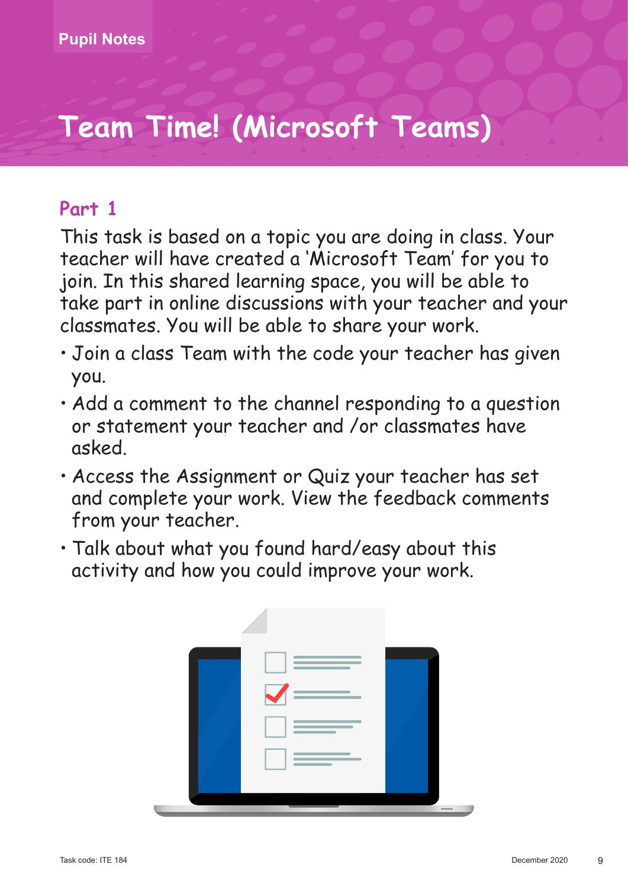### **Part 1**

- Join a class Team with the code your teacher has given you.
- Add a comment to the channel responding to a question or statement your teacher and /or classmates have asked.
- Access the Assignment or Quiz your teacher has set and complete your work. View the feedback comments from your teacher.
- Talk about what you found hard/easy about this activity and how you could improve your work.

| <u> Album a shekara ta 1999 na shekara ta 1991 na shekara ta 1991 na shekara ta 1991 na shekara ta 1991 na shekara ta 1991 na shekara ta 1991 na shekara ta 1991 na shekara ta 1991 na shekara ta 1991 na shekara ta 1991 na she</u><br>and the control of the control of          |        |
|------------------------------------------------------------------------------------------------------------------------------------------------------------------------------------------------------------------------------------------------------------------------------------|--------|
| $\checkmark$                                                                                                                                                                                                                                                                       |        |
| the control of the control of the control of the control of<br>the control of the control of the<br>the contract of the contract of                                                                                                                                                |        |
| <b>Contract Contract Contract Contract</b><br><u> Albanya di Bandari Bandari Bandari Bandari Bandari Bandari Bandari Bandari Bandari Bandari Bandari Bandari Bandari Bandari Bandari Bandari Bandari Bandari Bandari Bandari Bandari Bandari Bandari Bandari Bandari Bandari B</u> |        |
|                                                                                                                                                                                                                                                                                    | $\sim$ |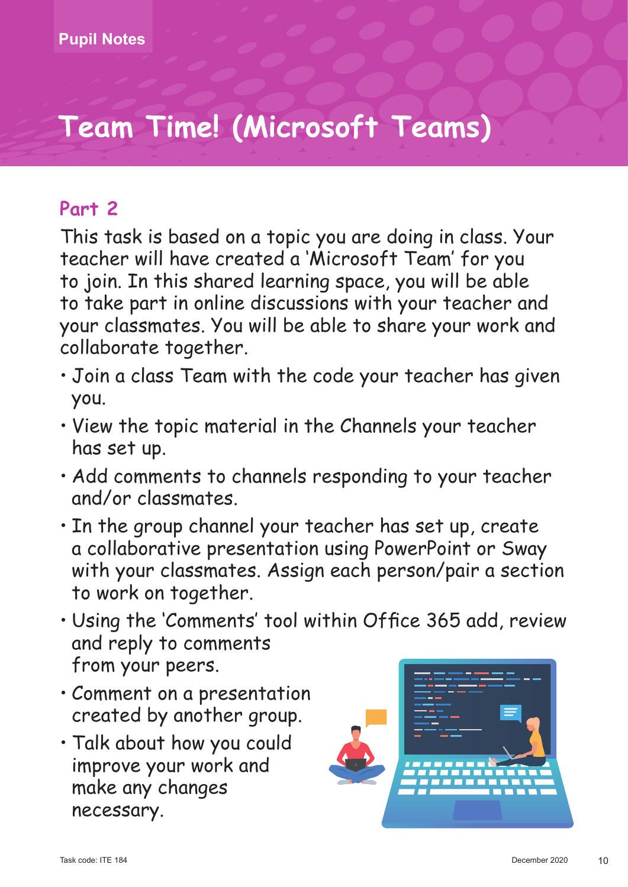## **Part 2**

- Join a class Team with the code your teacher has given you.
- View the topic material in the Channels your teacher has set up.
- Add comments to channels responding to your teacher and/or classmates.
- In the group channel your teacher has set up, create a collaborative presentation using PowerPoint or Sway with your classmates. Assign each person/pair a section to work on together.
- Using the 'Comments' tool within Office 365 add, review and reply to comments from your peers.
- Comment on a presentation created by another group.
- Talk about how you could improve your work and make any changes necessary.

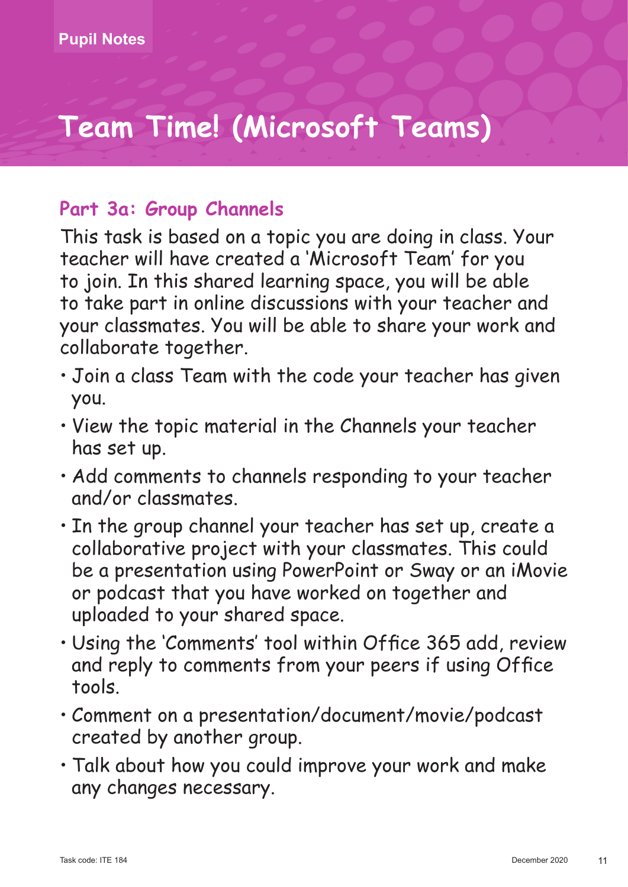### **Part 3a: Group Channels**

- Join a class Team with the code your teacher has given you.
- View the topic material in the Channels your teacher has set up.
- Add comments to channels responding to your teacher and/or classmates.
- In the group channel your teacher has set up, create a collaborative project with your classmates. This could be a presentation using PowerPoint or Sway or an iMovie or podcast that you have worked on together and uploaded to your shared space.
- Using the 'Comments' tool within Office 365 add, review and reply to comments from your peers if using Office tools.
- Comment on a presentation/document/movie/podcast created by another group.
- Talk about how you could improve your work and make any changes necessary.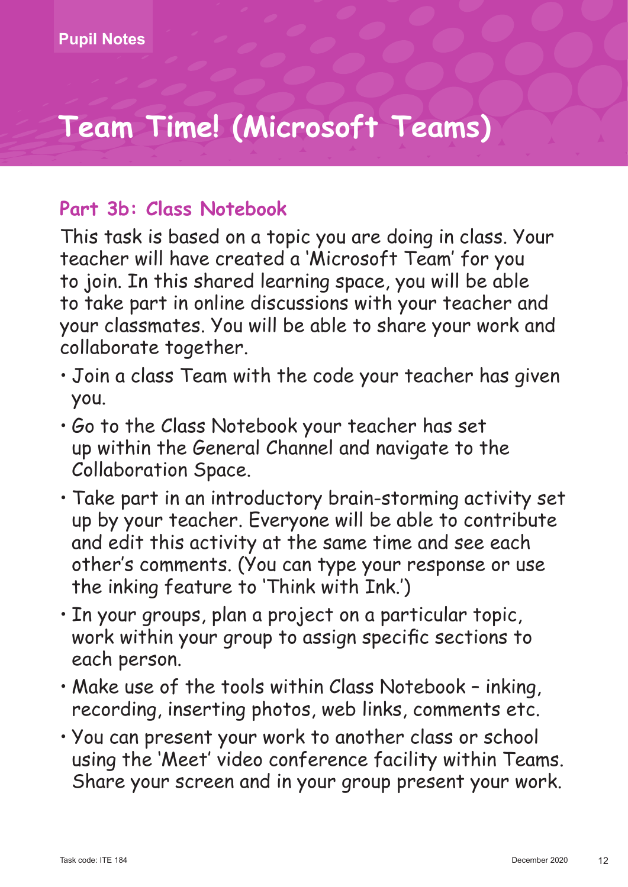### **Part 3b: Class Notebook**

- Join a class Team with the code your teacher has given you.
- Go to the Class Notebook your teacher has set up within the General Channel and navigate to the Collaboration Space.
- Take part in an introductory brain-storming activity set up by your teacher. Everyone will be able to contribute and edit this activity at the same time and see each other's comments. (You can type your response or use the inking feature to 'Think with Ink.')
- In your groups, plan a project on a particular topic, work within your group to assign specific sections to each person.
- Make use of the tools within Class Notebook inking, recording, inserting photos, web links, comments etc.
- You can present your work to another class or school using the 'Meet' video conference facility within Teams. Share your screen and in your group present your work.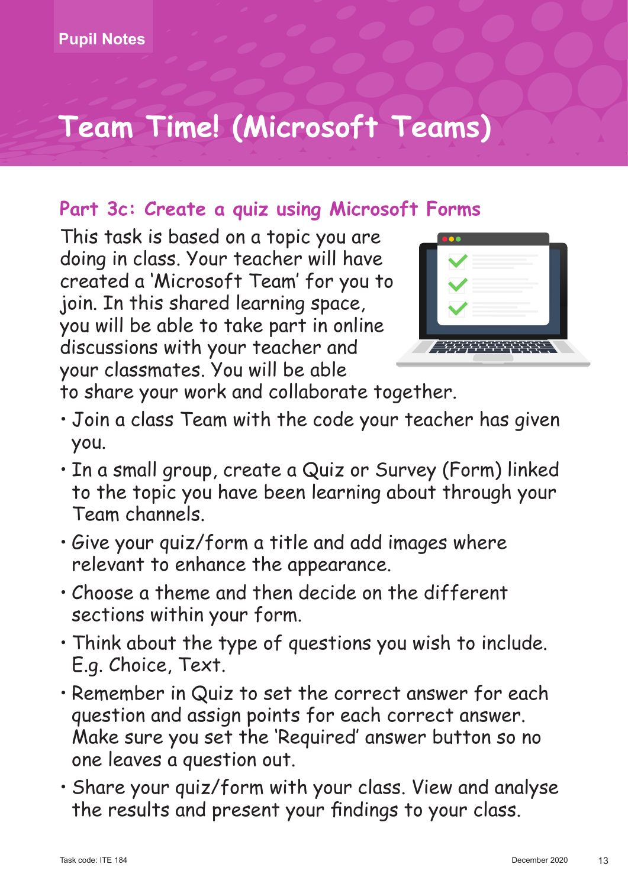## **Part 3c: Create a quiz using Microsoft Forms**

This task is based on a topic you are doing in class. Your teacher will have created a 'Microsoft Team' for you to join. In this shared learning space, you will be able to take part in online discussions with your teacher and your classmates. You will be able



to share your work and collaborate together.

- Join a class Team with the code your teacher has given you.
- In a small group, create a Quiz or Survey (Form) linked to the topic you have been learning about through your Team channels.
- Give your quiz/form a title and add images where relevant to enhance the appearance.
- Choose a theme and then decide on the different sections within your form.
- Think about the type of questions you wish to include. E.g. Choice, Text.
- Remember in Quiz to set the correct answer for each question and assign points for each correct answer. Make sure you set the 'Required' answer button so no one leaves a question out.
- Share your quiz/form with your class. View and analyse the results and present your findings to your class.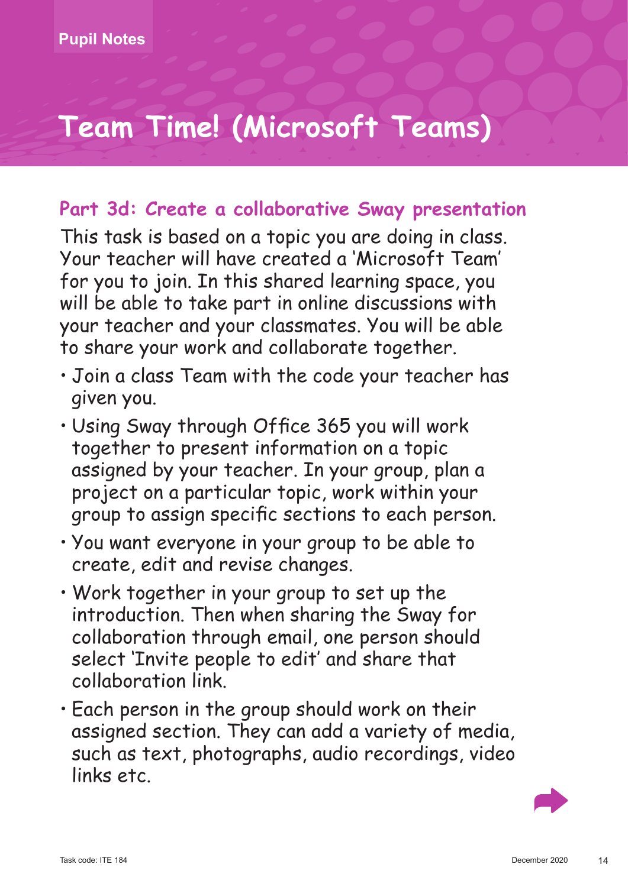### **Part 3d: Create a collaborative Sway presentation**

- Join a class Team with the code your teacher has given you.
- Using Sway through Office 365 you will work together to present information on a topic assigned by your teacher. In your group, plan a project on a particular topic, work within your group to assign specific sections to each person.
- You want everyone in your group to be able to create, edit and revise changes.
- Work together in your group to set up the introduction. Then when sharing the Sway for collaboration through email, one person should select 'Invite people to edit' and share that collaboration link.
- Each person in the group should work on their assigned section. They can add a variety of media, such as text, photographs, audio recordings, video links etc.